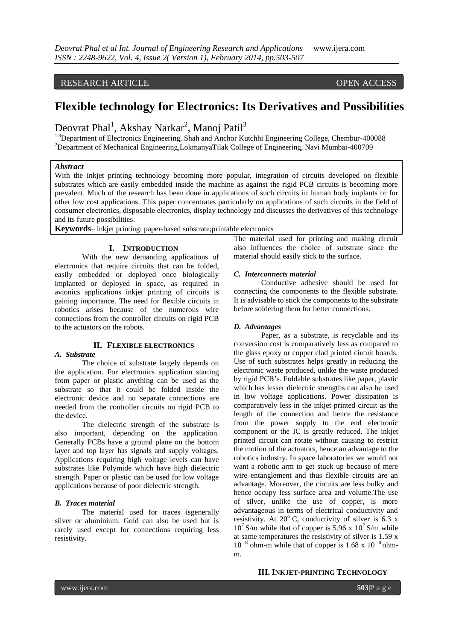RESEARCH ARTICLE OPEN ACCESS

# **Flexible technology for Electronics: Its Derivatives and Possibilities**

Deovrat Phal<sup>1</sup>, Akshay Narkar<sup>2</sup>, Manoj Patil<sup>3</sup>

<sup>1,3</sup>Department of Electronics Engineering, Shah and Anchor Kutchhi Engineering College, Chembur-400088 <sup>2</sup>Department of Mechanical Engineering,LokmanyaTilak College of Engineering, Navi Mumbai-400709

#### *Abstract*

With the inkjet printing technology becoming more popular, integration of circuits developed on flexible substrates which are easily embedded inside the machine as against the rigid PCB circuits is becoming more prevalent. Much of the research has been done in applications of such circuits in human body implants or for other low cost applications. This paper concentrates particularly on applications of such circuits in the field of consumer electronics, disposable electronics, display technology and discusses the derivatives of this technology and its future possibilities.

**Keywords**– inkjet printing; paper-based substrate;printable electronics

#### **I. INTRODUCTION**

With the new demanding applications of electronics that require circuits that can be folded, easily embedded or deployed once biologically implanted or deployed in space, as required in avionics applications inkjet printing of circuits is gaining importance. The need for flexible circuits in robotics arises because of the numerous wire connections from the controller circuits on rigid PCB to the actuators on the robots.

# **II. FLEXIBLE ELECTRONICS**

#### *A. Substrate*

The choice of substrate largely depends on the application. For electronics application starting from paper or plastic anything can be used as the substrate so that it could be folded inside the electronic device and no separate connections are needed from the controller circuits on rigid PCB to the device.

The dielectric strength of the substrate is also important, depending on the application. Generally PCBs have a ground plane on the bottom layer and top layer has signals and supply voltages. Applications requiring high voltage levels can have substrates like Polymide which have high dielectric strength. Paper or plastic can be used for low voltage applications because of poor dielectric strength.

#### *B. Traces material*

The material used for traces isgenerally silver or aluminium. Gold can also be used but is rarely used except for connections requiring less resistivity.

The material used for printing and making circuit also influences the choice of substrate since the material should easily stick to the surface.

#### *C. Interconnects material*

Conductive adhesive should be used for connecting the components to the flexible substrate. It is advisable to stick the components to the substrate before soldering them for better connections.

#### *D. Advantages*

Paper, as a substrate, is recyclable and its conversion cost is comparatively less as compared to the glass epoxy or copper clad printed circuit boards. Use of such substrates helps greatly in reducing the electronic waste produced, unlike the waste produced by rigid PCB's. Foldable substrates like paper, plastic which has lesser dielectric strengths can also be used in low voltage applications. Power dissipation is comparatively less in the inkjet printed circuit as the length of the connection and hence the resistance from the power supply to the end electronic component or the IC is greatly reduced. The inkjet printed circuit can rotate without causing to restrict the motion of the actuators, hence an advantage to the robotics industry. In space laboratories we would not want a robotic arm to get stuck up because of mere wire entanglement and thus flexible circuits are an advantage. Moreover, the circuits are less bulky and hence occupy less surface area and volume.The use of silver, unlike the use of copper, is more advantageous in terms of electrical conductivity and resistivity. At  $20^{\circ}$  C, conductivity of silver is 6.3 x  $10^7$  S/m while that of copper is 5.96 x  $10^7$  S/m while at same temperatures the resistivity of silver is 1.59 x  $10^{-8}$  ohm-m while that of copper is 1.68 x 10<sup>-8</sup> ohmm.

#### **III. INKJET-PRINTING TECHNOLOGY**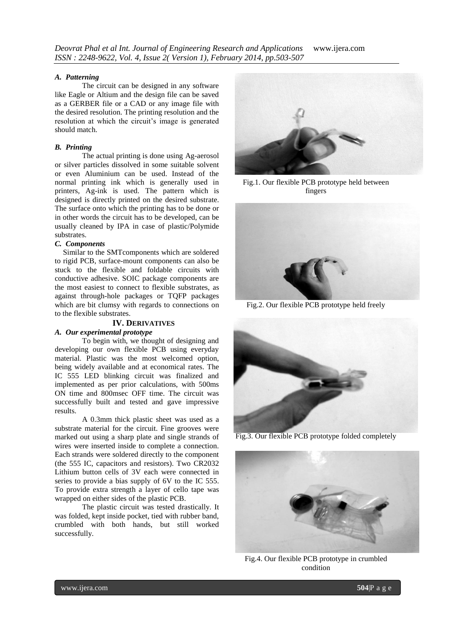#### *A. Patterning*

The circuit can be designed in any software like Eagle or Altium and the design file can be saved as a GERBER file or a CAD or any image file with the desired resolution. The printing resolution and the resolution at which the circuit's image is generated should match.

# *B. Printing*

The actual printing is done using Ag-aerosol or silver particles dissolved in some suitable solvent or even Aluminium can be used. Instead of the normal printing ink which is generally used in printers, Ag-ink is used. The pattern which is designed is directly printed on the desired substrate. The surface onto which the printing has to be done or in other words the circuit has to be developed, can be usually cleaned by IPA in case of plastic/Polymide substrates.

#### *C. Components*

Similar to the SMTcomponents which are soldered to rigid PCB, surface-mount components can also be stuck to the flexible and foldable circuits with conductive adhesive. SOIC package components are the most easiest to connect to flexible substrates, as against through-hole packages or TQFP packages which are bit clumsy with regards to connections on to the flexible substrates.

# **IV. DERIVATIVES**

# *A. Our experimental prototype*

To begin with, we thought of designing and developing our own flexible PCB using everyday material. Plastic was the most welcomed option, being widely available and at economical rates. The IC 555 LED blinking circuit was finalized and implemented as per prior calculations, with 500ms ON time and 800msec OFF time. The circuit was successfully built and tested and gave impressive results.

A 0.3mm thick plastic sheet was used as a substrate material for the circuit. Fine grooves were marked out using a sharp plate and single strands of wires were inserted inside to complete a connection. Each strands were soldered directly to the component (the 555 IC, capacitors and resistors). Two CR2032 Lithium button cells of 3V each were connected in series to provide a bias supply of 6V to the IC 555. To provide extra strength a layer of cello tape was wrapped on either sides of the plastic PCB.

The plastic circuit was tested drastically. It was folded, kept inside pocket, tied with rubber band, crumbled with both hands, but still worked successfully.



Fig.1. Our flexible PCB prototype held between fingers



Fig.2. Our flexible PCB prototype held freely



Fig.3. Our flexible PCB prototype folded completely



Fig.4. Our flexible PCB prototype in crumbled condition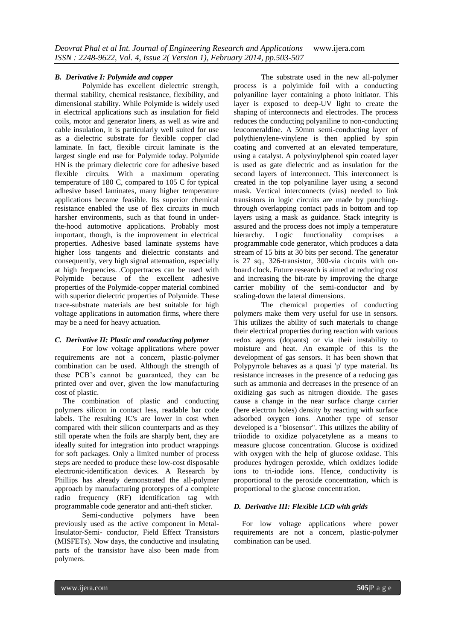#### *B. Derivative I: Polymide and copper*

Polymide has excellent dielectric strength, thermal stability, chemical resistance, flexibility, and dimensional stability. While Polymide is widely used in electrical applications such as insulation for field coils, motor and generator liners, as well as wire and cable insulation, it is particularly well suited for use as a dielectric substrate for flexible copper clad laminate. In fact, flexible circuit laminate is the largest single end use for Polymide today. Polymide HN is the primary dielectric core for adhesive based flexible circuits. With a maximum operating temperature of 180 C, compared to 105 C for typical adhesive based laminates, many higher temperature applications became feasible. Its superior chemical resistance enabled the use of flex circuits in much harsher environments, such as that found in underthe-hood automotive applications. Probably most important, though, is the improvement in electrical properties. Adhesive based laminate systems have higher loss tangents and dielectric constants and consequently, very high signal attenuation, especially at high frequencies. .Coppertraces can be used with Polymide because of the excellent adhesive properties of the Polymide-copper material combined with superior dielectric properties of Polymide. These trace-substrate materials are best suitable for high voltage applications in automation firms, where there may be a need for heavy actuation.

#### *C. Derivative II: Plastic and conducting polymer*

For low voltage applications where power requirements are not a concern, plastic-polymer combination can be used. Although the strength of these PCB's cannot be guaranteed, they can be printed over and over, given the low manufacturing cost of plastic.

The combination of plastic and conducting polymers silicon in contact less, readable bar code labels. The resulting IC's are lower in cost when compared with their silicon counterparts and as they still operate when the foils are sharply bent, they are ideally suited for integration into product wrappings for soft packages. Only a limited number of process steps are needed to produce these low-cost disposable electronic-identification devices. A Research by Phillips has already demonstrated the all-polymer approach by manufacturing prototypes of a complete radio frequency (RF) identification tag with programmable code generator and anti-theft sticker.

Semi-conductive polymers have been previously used as the active component in Metal-Insulator-Semi- conductor, Field Effect Transistors (MISFETs). Now days, the conductive and insulating parts of the transistor have also been made from polymers.

The substrate used in the new all-polymer process is a polyimide foil with a conducting polyaniline layer containing a photo initiator. This layer is exposed to deep-UV light to create the shaping of interconnects and electrodes. The process reduces the conducting polyaniline to non-conducting leucomeraldine. A 50mm semi-conducting layer of polythienylene-vinylene is then applied by spin coating and converted at an elevated temperature, using a catalyst. A polyvinylphenol spin coated layer is used as gate dielectric and as insulation for the second layers of interconnect. This interconnect is created in the top polyaniline layer using a second mask. Vertical interconnects (vias) needed to link transistors in logic circuits are made by punchingthrough overlapping contact pads in bottom and top layers using a mask as guidance. Stack integrity is assured and the process does not imply a temperature<br>hierarchy. Logic functionality comprises a hierarchy. Logic functionality programmable code generator, which produces a data stream of 15 bits at 30 bits per second. The generator is 27 sq., 326-transistor, 300-via circuits with onboard clock. Future research is aimed at reducing cost and increasing the bit-rate by improving the charge carrier mobility of the semi-conductor and by scaling-down the lateral dimensions.

The chemical properties of conducting polymers make them very useful for use in sensors. This utilizes the ability of such materials to change their electrical properties during reaction with various redox agents (dopants) or via their instability to moisture and heat. An example of this is the development of gas sensors. It has been shown that Polypyrrole behaves as a quasi 'p' type material. Its resistance increases in the presence of a reducing gas such as ammonia and decreases in the presence of an oxidizing gas such as nitrogen dioxide. The gases cause a change in the near surface charge carrier (here electron holes) density by reacting with surface adsorbed oxygen ions. Another type of sensor developed is a "biosensor". This utilizes the ability of triiodide to oxidize polyacetylene as a means to measure glucose concentration. Glucose is oxidized with oxygen with the help of glucose oxidase. This produces hydrogen peroxide, which oxidizes iodide ions to tri-iodide ions. Hence, conductivity is proportional to the peroxide concentration, which is proportional to the glucose concentration.

#### *D. Derivative III: Flexible LCD with grids*

For low voltage applications where power requirements are not a concern, plastic-polymer combination can be used.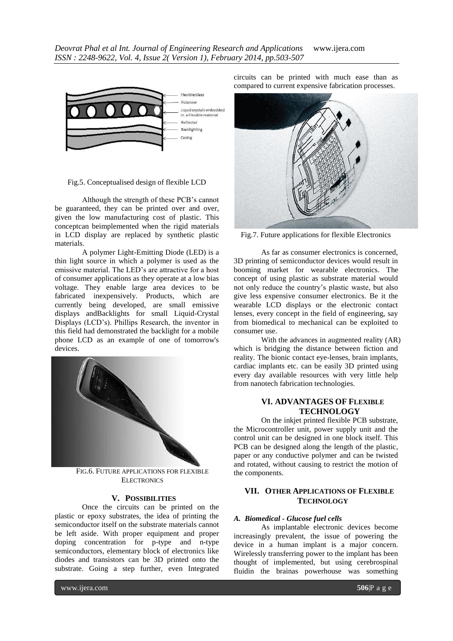

#### Fig.5. Conceptualised design of flexible LCD

Although the strength of these PCB's cannot be guaranteed, they can be printed over and over, given the low manufacturing cost of plastic. This conceptcan beimplemented when the rigid materials in LCD display are replaced by synthetic plastic materials.

A polymer Light-Emitting Diode (LED) is a thin light source in which a polymer is used as the emissive material. The LED's are attractive for a host of consumer applications as they operate at a low bias voltage. They enable large area devices to be fabricated inexpensively. Products, which are currently being developed, are small emissive displays andBacklights for small Liquid-Crystal Displays (LCD's). Phillips Research, the inventor in this field had demonstrated the backlight for a mobile phone LCD as an example of one of tomorrow's devices.



FIG.6. FUTURE APPLICATIONS FOR FLEXIBLE ELECTRONICS

### **V. POSSIBILITIES**

Once the circuits can be printed on the plastic or epoxy substrates, the idea of printing the semiconductor itself on the substrate materials cannot be left aside. With proper equipment and proper doping concentration for p-type and n-type semiconductors, elementary block of electronics like diodes and transistors can be 3D printed onto the substrate. Going a step further, even Integrated

circuits can be printed with much ease than as compared to current expensive fabrication processes.



Fig.7. Future applications for flexible Electronics

As far as consumer electronics is concerned, 3D printing of semiconductor devices would result in booming market for wearable electronics. The concept of using plastic as substrate material would not only reduce the country's plastic waste, but also give less expensive consumer electronics. Be it the wearable LCD displays or the electronic contact lenses, every concept in the field of engineering, say from biomedical to mechanical can be exploited to consumer use.

With the advances in augmented reality (AR) which is bridging the distance between fiction and reality. The bionic contact eye-lenses, brain implants, cardiac implants etc. can be easily 3D printed using every day available resources with very little help from nanotech fabrication technologies.

# **VI. ADVANTAGES OF FLEXIBLE TECHNOLOGY**

On the inkjet printed flexible PCB substrate, the Microcontroller unit, power supply unit and the control unit can be designed in one block itself. This PCB can be designed along the length of the plastic, paper or any conductive polymer and can be twisted and rotated, without causing to restrict the motion of the components.

# **VII. OTHER APPLICATIONS OF FLEXIBLE TECHNOLOGY**

#### *A. Biomedical - Glucose fuel cells*

As implantable electronic devices become increasingly prevalent, the issue of powering the device in a human implant is a major concern. Wirelessly transferring power to the implant has been thought of implemented, but using cerebrospinal fluidin the brainas powerhouse was something